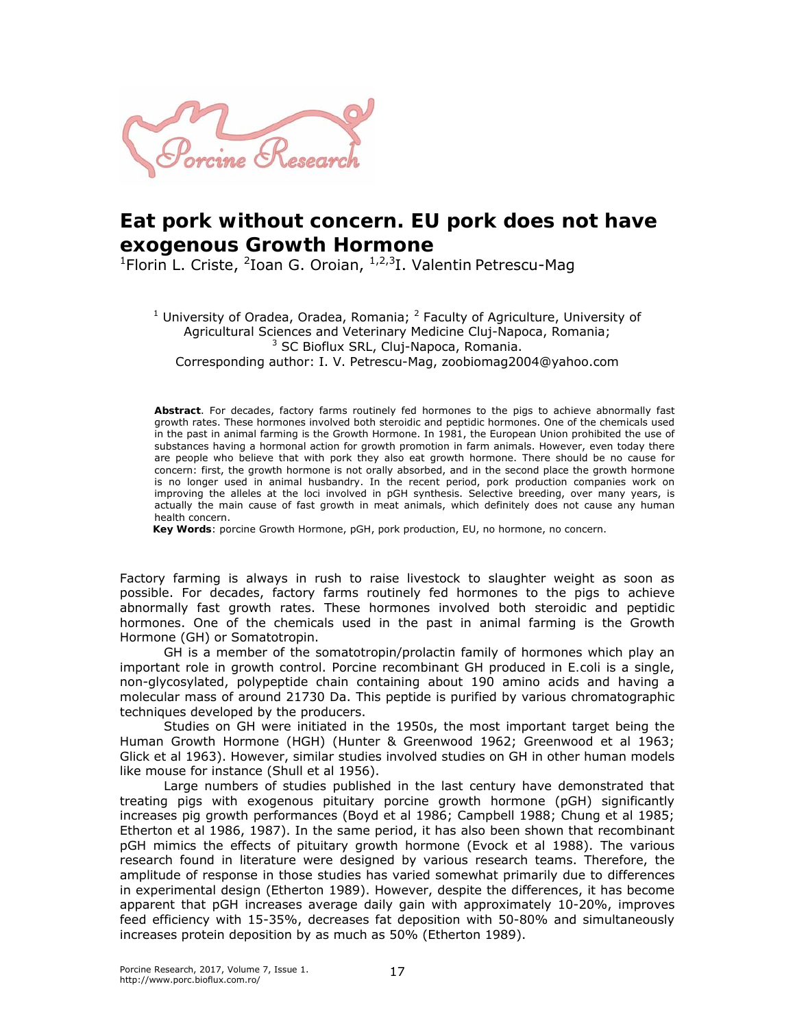

## **Eat pork without concern. EU pork does not have exogenous Growth Hormone**

<sup>1</sup>Florin L. Criste, <sup>2</sup>Ioan G. Oroian, <sup>1,2,3</sup>I. Valentin Petrescu-Mag

<sup>1</sup> University of Oradea, Oradea, Romania;  $^2$  Faculty of Agriculture, University of Agricultural Sciences and Veterinary Medicine Cluj-Napoca, Romania; <sup>3</sup> SC Bioflux SRL, Cluj-Napoca, Romania. Corresponding author: I. V. Petrescu-Mag, zoobiomag2004@yahoo.com

**Abstract**. For decades, factory farms routinely fed hormones to the pigs to achieve abnormally fast growth rates. These hormones involved both steroidic and peptidic hormones. One of the chemicals used in the past in animal farming is the Growth Hormone. In 1981, the European Union prohibited the use of substances having a hormonal action for growth promotion in farm animals. However, even today there are people who believe that with pork they also eat growth hormone. There should be no cause for concern: first, the growth hormone is not orally absorbed, and in the second place the growth hormone is no longer used in animal husbandry. In the recent period, pork production companies work on improving the alleles at the loci involved in pGH synthesis. Selective breeding, over many years, is actually the main cause of fast growth in meat animals, which definitely does not cause any human health concern.

**Key Words**: porcine Growth Hormone, pGH, pork production, EU, no hormone, no concern.

Factory farming is always in rush to raise livestock to slaughter weight as soon as possible. For decades, factory farms routinely fed hormones to the pigs to achieve abnormally fast growth rates. These hormones involved both steroidic and peptidic hormones. One of the chemicals used in the past in animal farming is the Growth Hormone (GH) or Somatotropin.

GH is a member of the somatotropin/prolactin family of hormones which play an important role in growth control. Porcine recombinant GH produced in *E.coli* is a single, non-glycosylated, polypeptide chain containing about 190 amino acids and having a molecular mass of around 21730 Da. This peptide is purified by various chromatographic techniques developed by the producers.

Studies on GH were initiated in the 1950s, the most important target being the Human Growth Hormone (HGH) (Hunter & Greenwood 1962; Greenwood et al 1963; Glick et al 1963). However, similar studies involved studies on GH in other human models like mouse for instance (Shull et al 1956).

Large numbers of studies published in the last century have demonstrated that treating pigs with exogenous pituitary porcine growth hormone (pGH) significantly increases pig growth performances (Boyd et al 1986; Campbell 1988; Chung et al 1985; Etherton et al 1986, 1987). In the same period, it has also been shown that recombinant pGH mimics the effects of pituitary growth hormone (Evock et al 1988). The various research found in literature were designed by various research teams. Therefore, the amplitude of response in those studies has varied somewhat primarily due to differences in experimental design (Etherton 1989). However, despite the differences, it has become apparent that pGH increases average daily gain with approximately 10-20%, improves feed efficiency with 15-35%, decreases fat deposition with 50-80% and simultaneously increases protein deposition by as much as 50% (Etherton 1989).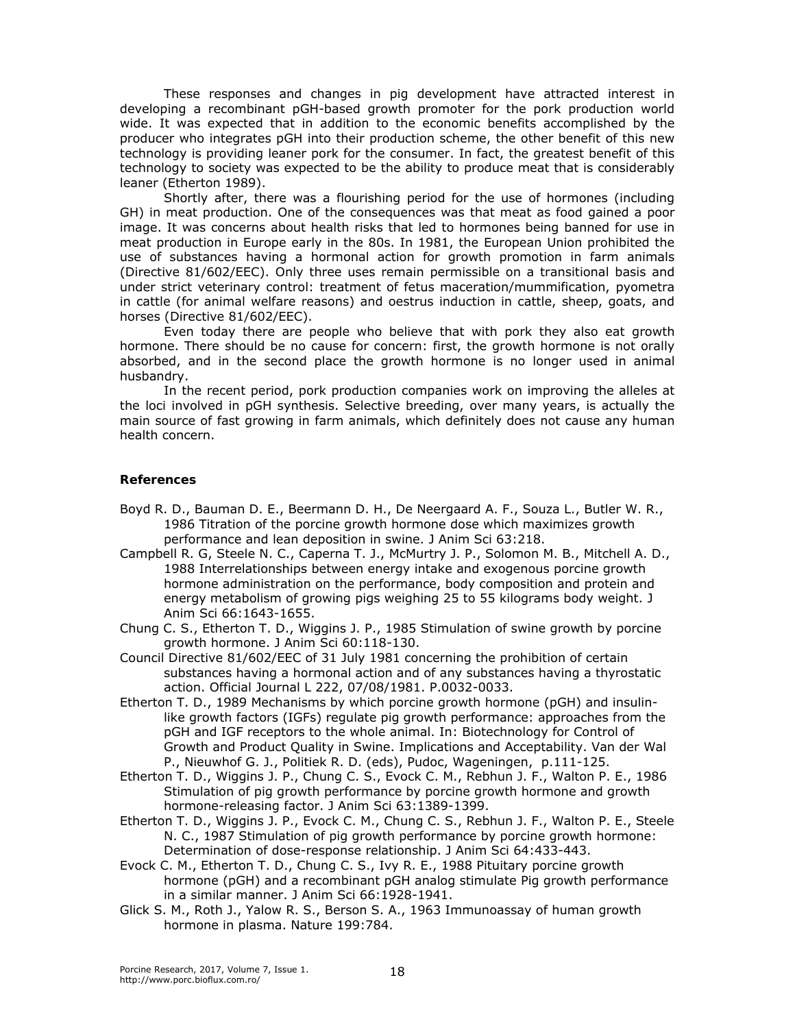These responses and changes in pig development have attracted interest in developing a recombinant pGH-based growth promoter for the pork production world wide. It was expected that in addition to the economic benefits accomplished by the producer who integrates pGH into their production scheme, the other benefit of this new technology is providing leaner pork for the consumer. In fact, the greatest benefit of this technology to society was expected to be the ability to produce meat that is considerably leaner (Etherton 1989).

Shortly after, there was a flourishing period for the use of hormones (including GH) in meat production. One of the consequences was that meat as food gained a poor image. It was concerns about health risks that led to hormones being banned for use in meat production in Europe early in the 80s. In 1981, the European Union prohibited the use of substances having a hormonal action for growth promotion in farm animals (Directive 81/602/EEC). Only three uses remain permissible on a transitional basis and under strict veterinary control: treatment of fetus maceration/mummification, pyometra in cattle (for animal welfare reasons) and oestrus induction in cattle, sheep, goats, and horses (Directive 81/602/EEC).

Even today there are people who believe that with pork they also eat growth hormone. There should be no cause for concern: first, the growth hormone is not orally absorbed, and in the second place the growth hormone is no longer used in animal husbandry.

 In the recent period, pork production companies work on improving the alleles at the loci involved in pGH synthesis. Selective breeding, over many years, is actually the main source of fast growing in farm animals, which definitely does not cause any human health concern.

## **References**

- Boyd R. D., Bauman D. E., Beermann D. H., De Neergaard A. F., Souza L., Butler W. R., 1986 Titration of the porcine growth hormone dose which maximizes growth performance and lean deposition in swine. J Anim Sci 63:218.
- Campbell R. G, Steele N. C., Caperna T. J., McMurtry J. P., Solomon M. B., Mitchell A. D., 1988 Interrelationships between energy intake and exogenous porcine growth hormone administration on the performance, body composition and protein and energy metabolism of growing pigs weighing 25 to 55 kilograms body weight. J Anim Sci 66:1643-1655.
- Chung C. S., Etherton T. D., Wiggins J. P., 1985 Stimulation of swine growth by porcine growth hormone. J Anim Sci 60:118-130.
- Council Directive 81/602/EEC of 31 July 1981 concerning the prohibition of certain substances having a hormonal action and of any substances having a thyrostatic action. Official Journal L 222, 07/08/1981. P.0032-0033.
- Etherton T. D., 1989 Mechanisms by which porcine growth hormone (pGH) and insulinlike growth factors (IGFs) regulate pig growth performance: approaches from the pGH and IGF receptors to the whole animal. In: Biotechnology for Control of Growth and Product Quality in Swine. Implications and Acceptability. Van der Wal P., Nieuwhof G. J., Politiek R. D. (eds), Pudoc, Wageningen, p.111-125.
- Etherton T. D., Wiggins J. P., Chung C. S., Evock C. M., Rebhun J. F., Walton P. E., 1986 Stimulation of pig growth performance by porcine growth hormone and growth hormone-releasing factor. J Anim Sci 63:1389-1399.
- Etherton T. D., Wiggins J. P., Evock C. M., Chung C. S., Rebhun J. F., Walton P. E., Steele N. C., 1987 Stimulation of pig growth performance by porcine growth hormone: Determination of dose-response relationship. J Anim Sci 64:433-443.
- Evock C. M., Etherton T. D., Chung C. S., Ivy R. E., 1988 Pituitary porcine growth hormone (pGH) and a recombinant pGH analog stimulate Pig growth performance in a similar manner. J Anim Sci 66:1928-1941.
- Glick S. M., Roth J., Yalow R. S., Berson S. A., 1963 Immunoassay of human growth hormone in plasma. Nature 199:784.